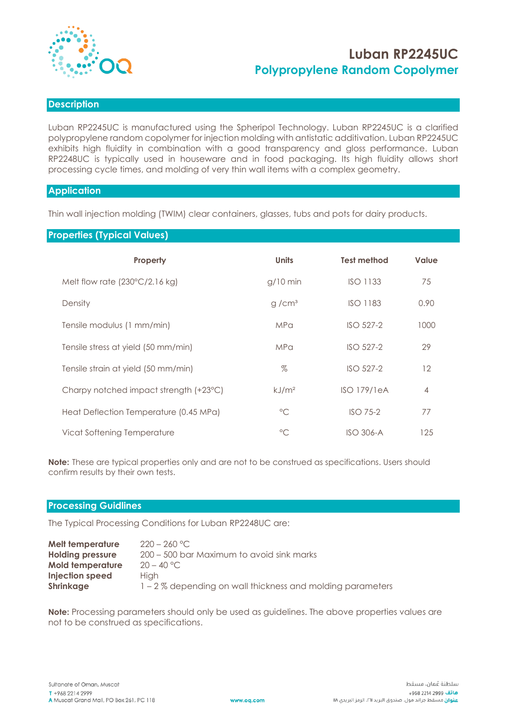

# **Luban RP2245UC Polypropylene Random Copolymer**

## **Description**

Luban RP2245UC is manufactured using the Spheripol Technology. Luban RP2245UC is a clarified polypropylene random copolymer for injection molding with antistatic additivation. Luban RP2245UC exhibits high fluidity in combination with a good transparency and gloss performance. Luban RP2248UC is typically used in houseware and in food packaging. Its high fluidity allows short processing cycle times, and molding of very thin wall items with a complex geometry.

#### **Application**

Thin wall injection molding (TWIM) clear containers, glasses, tubs and pots for dairy products.

## **Properties (Typical Values)**

| Property                                | <b>Units</b>      | <b>Test method</b> | Value          |
|-----------------------------------------|-------------------|--------------------|----------------|
| Melt flow rate $(230^{\circ}C/2.16$ kg) | $g/10$ min        | <b>ISO 1133</b>    | 75             |
| Density                                 | g/cm <sup>3</sup> | <b>ISO 1183</b>    | 0.90           |
| Tensile modulus (1 mm/min)              | MPa               | $ISO$ 527-2        | 1000           |
| Tensile stress at yield (50 mm/min)     | <b>MPa</b>        | ISO 527-2          | 29             |
| Tensile strain at yield (50 mm/min)     | $\%$              | ISO 527-2          | 12             |
| Charpy notched impact strength (+23°C)  | kJ/m <sup>2</sup> | <b>ISO 179/1eA</b> | $\overline{4}$ |
| Heat Deflection Temperature (0.45 MPa)  | $^{\circ}$ C      | $ISO$ 75-2         | 77             |
| Vicat Softening Temperature             | $^{\circ}$ C      | <b>ISO 306-A</b>   | 125            |

**Note:** These are typical properties only and are not to be construed as specifications. Users should confirm results by their own tests.

#### **Processing Guidlines**

The Typical Processing Conditions for Luban RP2248UC are:

| <b>Melt temperature</b> | $220 - 260$ °C.                                              |
|-------------------------|--------------------------------------------------------------|
| <b>Holding pressure</b> | 200 – 500 bar Maximum to avoid sink marks                    |
| <b>Mold temperature</b> | $20 - 40 °C$                                                 |
| <b>Injection speed</b>  | <b>Hiah</b>                                                  |
| Shrinkage               | $1 - 2$ % depending on wall thickness and molding parameters |

**Note:** Processing parameters should only be used as guidelines. The above properties values are not to be construed as specifications.